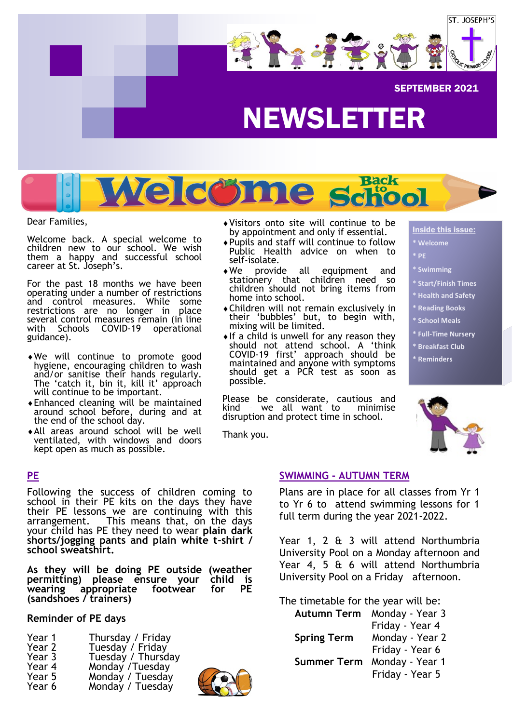

# Welcome school

Dear Families,

Welcome back. A special welcome to children new to our school. We wish them a happy and successful school career at St. Joseph's.

For the past 18 months we have been operating under a number of restrictions and control measures. While some restrictions are no longer in place several control measures remain (in line with Schools COVID-19 operational guidance).

- We will continue to promote good hygiene, encouraging children to wash and/or sanitise their hands regularly. The 'catch it, bin it, kill it' approach will continue to be important.
- Enhanced cleaning will be maintained around school before, during and at the end of the school day.
- All areas around school will be well ventilated, with windows and doors kept open as much as possible.
- Visitors onto site will continue to be by appointment and only if essential.
- Pupils and staff will continue to follow Public Health advice on when to self-isolate.
- We provide all equipment and stationery that children need so children should not bring items from home into school.
- Children will not remain exclusively in their 'bubbles' but, to begin with, mixing will be limited.
- $\bullet$  If a child is unwell for any reason they should not attend school. A 'think COVID-19 first' approach should be maintained and anyone with symptoms should get a PCR test as soon as possible.

Please be considerate, cautious and kind – we all want to minimise disruption and protect time in school.

Thank you.

### Inside this issue:

- **\* Welcome**
- **\* PE**
- **\* Swimming**
- **\* Start/Finish Times**
- **\* Health and Safety**
- **\* Reading Books**
- **\* School Meals**
- **\* Full-Time Nursery**
- **\* Breakfast Club**
- **\* Reminders**



### **PE**

Following the success of children coming to school in their PE kits on the days they have their PE lessons we are continuing with this arrangement. This means that, on the days your child has PE they need to wear **plain dark shorts/jogging pants and plain white t-shirt / school sweatshirt.**

**As they will be doing PE outside (weather permitting) please ensure your child is**  wearing appropriate footwear **(sandshoes / trainers)**

### **Reminder of PE days**

- Year 1 Thursday / Friday<br>Year 2 Tuesday / Friday Year 2 Tuesday / Friday Year 3 Tuesday / Thursday
- Year 4 Monday / Tuesday<br>Year 5 Monday / Tuesday Monday / Tuesday
- Year 6 Monday / Tuesday



### **SWIMMING - AUTUMN TERM**

Plans are in place for all classes from Yr 1 to Yr 6 to attend swimming lessons for 1 full term during the year 2021-2022.

Year 1, 2 & 3 will attend Northumbria University Pool on a Monday afternoon and Year 4, 5 & 6 will attend Northumbria University Pool on a Friday afternoon.

The timetable for the year will be:

| Monday - Year 3<br>Autumn Term |
|--------------------------------|
| Friday - Year 4                |
| Monday - Year 2                |
| Friday - Year 6                |
| Monday - Year 1                |
| Friday - Year 5                |
|                                |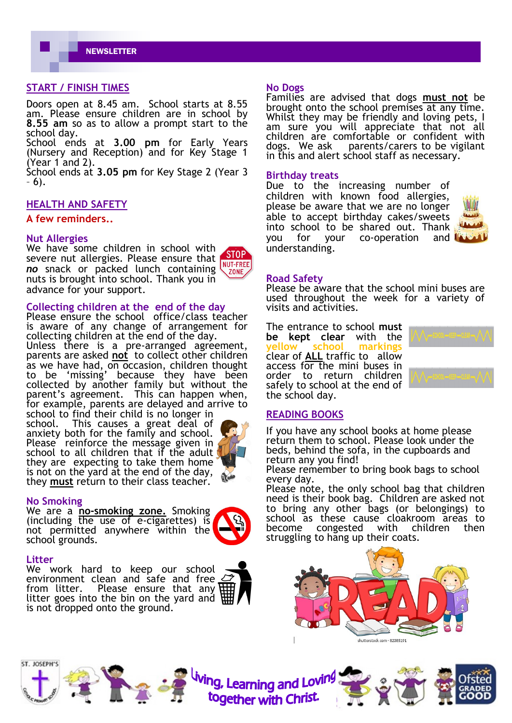**NEWSLETTER** 

### **START / FINISH TIMES**

Doors open at 8.45 am. School starts at 8.55 am. Please ensure children are in school by **8.55 am** so as to allow a prompt start to the school day.

School ends at **3.00 pm** for Early Years (Nursery and Reception) and for Key Stage 1 (Year 1 and 2).

School ends at **3.05 pm** for Key Stage 2 (Year 3 – 6).

### **HEALTH AND SAFETY**

### **A few reminders..**

### **Nut Allergies**

We have some children in school with **STOP** severe nut allergies. Please ensure that NUT-FREE *no* snack or packed lunch containing ZONE nuts is brought into school. Thank you in advance for your support.

### **Collecting children at the end of the day**

Please ensure the school office/class teacher is aware of any change of arrangement for collecting children at the end of the day. Unless there is a pre-arranged agreement, parents are asked **not** to collect other children as we have had, on occasion, children thought to be 'missing' because they have been collected by another family but without the parent's agreement. This can happen when, for example, parents are delayed and arrive to

school to find their child is no longer in school. This causes a great deal of anxiety both for the family and school. Please reinforce the message given in school to all children that if the adult they are expecting to take them home is not on the yard at the end of the day, they **must** return to their class teacher.



### **No Smoking**

We are a **no-smoking zone.** Smoking (including the use of e-cigarettes) is not permitted anywhere within the school grounds.

### **Litter**

ST. JOSEPH'S

We work hard to keep our school environment clean and safe and free from litter. Please ensure that any litter goes into the bin on the yard and  $\overline{\mathfrak{h}}$ is not dropped onto the ground.

## **No Dogs**

Families are advised that dogs **must not** be brought onto the school premises at any time. Whilst they may be friendly and loving pets, I am sure you will appreciate that not all children are comfortable or confident with dogs. We ask parents/carers to be vigilant in this and alert school staff as necessary.

### **Birthday treats**

Due to the increasing number of children with known food allergies, please be aware that we are no longer able to accept birthday cakes/sweets into school to be shared out. Thank you for your co-operation and understanding.



### **Road Safety**

Please be aware that the school mini buses are used throughout the week for a variety of visits and activities.

The entrance to school **must be kept clear** with the **vellow** school marki clear of **ALL** traffic to allow access for the mini buses in order to return children safely to school at the end of the school day.



### **READING BOOKS**

If you have any school books at home please return them to school. Please look under the beds, behind the sofa, in the cupboards and return any you find!

Please remember to bring book bags to school every day.

Please note, the only school bag that children need is their book bag. Children are asked not to bring any other bags (or belongings) to school as these cause cloakroom areas to<br>become congested with children then become congested with children then struggling to hang up their coats.







<sup>tiving</sup>, Learning and Lovin<sup>g</sup><br>together with Christ



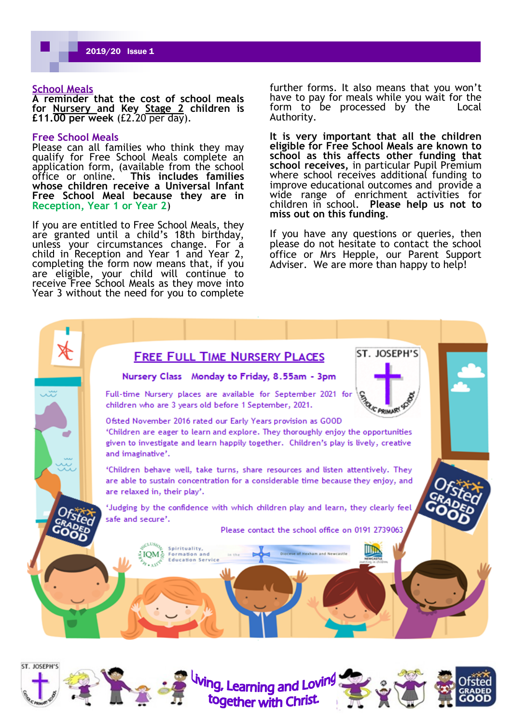### **School Meals**

**A reminder that the cost of school meals for Nursery and Key Stage 2 children is £11.00 per week** (£2.20 per day).

### **Free School Meals**

Please can all families who think they may qualify for Free School Meals complete an application form, (available from the school office or online. This includes families office or online. **This includes families whose children receive a Universal Infant Free School Meal because they are in Reception, Year 1 or Year 2**)

If you are entitled to Free School Meals, they are granted until a child's 18th birthday, unless your circumstances change. For a child in Reception and Year 1 and Year 2, completing the form now means that, if you are eligible, your child will continue to receive Free School Meals as they move into Year 3 without the need for you to complete

further forms. It also means that you won't have to pay for meals while you wait for the form to be processed by the Local Authority.

**It is very important that all the children eligible for Free School Meals are known to school as this affects other funding that**  school receives, in particular Pupil Premium where school receives additional funding to improve educational outcomes and provide a wide range of enrichment activities for children in school. **Please help us not to miss out on this funding**.

If you have any questions or queries, then please do not hesitate to contact the school office or Mrs Hepple, our Parent Support Adviser. We are more than happy to help!